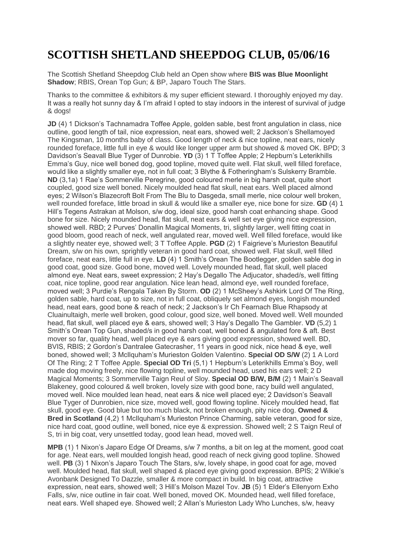## **SCOTTISH SHETLAND SHEEPDOG CLUB, 05/06/16**

The Scottish Shetland Sheepdog Club held an Open show where **BIS was Blue Moonlight Shadow**; RBIS, Orean Top Gun; & BP, Japaro Touch The Stars.

Thanks to the committee & exhibitors & my super efficient steward. I thoroughly enjoyed my day. It was a really hot sunny day & I'm afraid I opted to stay indoors in the interest of survival of judge & dogs!

**JD** (4) 1 Dickson's Tachnamadra Toffee Apple, golden sable, best front angulation in class, nice outline, good length of tail, nice expression, neat ears, showed well; 2 Jackson's Shellamoyed The Kingsman, 10 months baby of class. Good length of neck & nice topline, neat ears, nicely rounded foreface, little full in eye & would like longer upper arm but showed & moved OK. BPD; 3 Davidson's Seavall Blue Tyger of Dunrobie. **YD** (3) 1 T Toffee Apple; 2 Hepburn's Leterikhills Emma's Guy, nice well boned dog, good topline, moved quite well. Flat skull, well filled foreface, would like a slightly smaller eye, not in full coat; 3 Blythe & Fotheringham's Sulskerry Bramble. **ND** (3,1a) 1 Rae's Sommerville Peregrine, good coloured merle in big harsh coat, quite short coupled, good size well boned. Nicely moulded head flat skull, neat ears. Well placed almond eyes; 2 Wilson's Blazecroft Bolt From The Blu to Dasgeda, small merle, nice colour well broken, well rounded foreface, little broad in skull & would like a smaller eye, nice bone for size. **GD** (4) 1 Hill's Tegens Astrakan at Molson, s/w dog, ideal size, good harsh coat enhancing shape. Good bone for size. Nicely mounded head, flat skull, neat ears & well set eye giving nice expression, showed well. RBD; 2 Purves' Donallin Magical Moments, tri, slightly larger, well fitting coat in good bloom, good reach of neck, well angulated rear, moved well. Well filled foreface, would like a slightly neater eye, showed well; 3 T Toffee Apple. **PGD** (2) 1 Faigrieve's Murieston Beautiful Dream, s/w on his own, sprightly veteran in good hard coat, showed well. Flat skull, well filled foreface, neat ears, little full in eye. **LD** (4) 1 Smith's Orean The Bootlegger, golden sable dog in good coat, good size. Good bone, moved well. Lovely mounded head, flat skull, well placed almond eye. Neat ears, sweet expression; 2 Hay's Degallo The Adjucator, shaded/s, well fitting coat, nice topline, good rear angulation. Nice lean head, almond eye, well rounded foreface, moved well; 3 Purdie's Rengala Taken By Storm. **OD** (2) 1 McSheey's Ashkirk Lord Of The Ring, golden sable, hard coat, up to size, not in full coat, obliquely set almond eyes, longish mounded head, neat ears, good bone & reach of neck; 2 Jackson's Ir Ch Fearnach Blue Rhapsody at Cluainultaigh, merle well broken, good colour, good size, well boned. Moved well. Well mounded head, flat skull, well placed eye & ears, showed well; 3 Hay's Degallo The Gambler. **VD** (5,2) 1 Smith's Orean Top Gun, shaded/s in good harsh coat, well boned & angulated fore & aft. Best mover so far, quality head, well placed eye & ears giving good expression, showed well. BD, BVIS, RBIS; 2 Gordon's Dantralee Gatecrasher, 11 years in good nick, nice head & eye, well boned, showed well; 3 McIlquham's Murieston Golden Valentino. **Special OD S/W** (2) 1 A Lord Of The Ring; 2 T Toffee Apple. **Special OD Tri** (5,1) 1 Hepburn's Leterikhills Emma's Boy, well made dog moving freely, nice flowing topline, well mounded head, used his ears well; 2 D Magical Moments; 3 Sommerville Taign Reul of Sloy. **Special OD B/W, B/M** (2) 1 Main's Seavall Blakeney, good coloured & well broken, lovely size with good bone, racy build well angulated, moved well. Nice moulded lean head, neat ears & nice well placed eye; 2 Davidson's Seavall Blue Tyger of Dunrobien, nice size, moved well, good flowing topline. Nicely moulded head, flat skull, good eye. Good blue but too much black, not broken enough, pity nice dog. **Owned & Bred in Scotland** (4,2) 1 McIlquham's Murieston Prince Charming, sable veteran, good for size, nice hard coat, good outline, well boned, nice eye & expression. Showed well; 2 S Taign Reul of S, tri in big coat, very unsettled today, good lean head, moved well.

**MPB** (1) 1 Nixon's Japaro Edge Of Dreams, s/w 7 months, a bit on leg at the moment, good coat for age. Neat ears, well moulded longish head, good reach of neck giving good topline. Showed well. **PB** (3) 1 Nixon's Japaro Touch The Stars, s/w, lovely shape, in good coat for age, moved well. Moulded head, flat skull, well shaped & placed eye giving good expression. BPIS; 2 Wilkie's Avonbank Designed To Dazzle, smaller & more compact in build. In big coat, attractive expression, neat ears, showed well; 3 Hill's Molson Mazel Tov. **JB** (5) 1 Elder's Ellenyorn Exho Falls, s/w, nice outline in fair coat. Well boned, moved OK. Mounded head, well filled foreface, neat ears. Well shaped eye. Showed well; 2 Allan's Murieston Lady Who Lunches, s/w, heavy